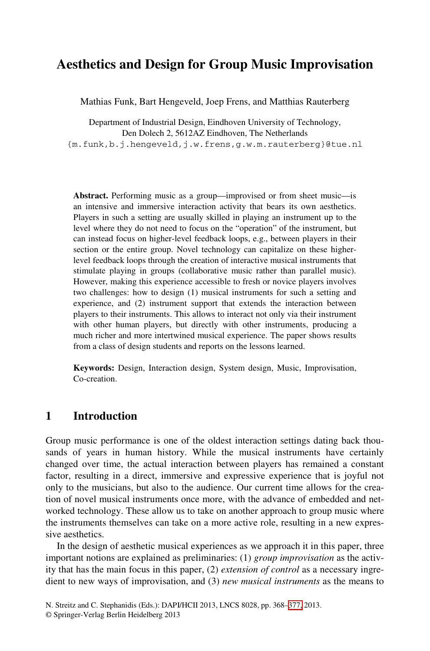# **Aesthetics and Design for Group Music Improvisation**

Mathias Funk, Bart Hengeveld, Joep Frens, and Matthias Rauterberg

Department of Industrial Design, Eindhoven University of Technology, Den Dolech 2, 5612AZ Eindhoven, The Netherlands {m.funk,b.j.hengeveld,j.w.frens,g.w.m.rauterberg}@tue.nl

**Abstract.** Performing music as a group—improvised or from sheet music—is an intensive and immersive interaction activity that bears its own aesthetics. Players in such a setting are usually skilled in playing an instrument up to the level where they do not need to focus on the "operation" of the instrument, but can instead focus on higher-level feedback loops, e.g., between players in their section or the entire group. Novel technology can capitalize on these higherlevel feedback loops through the creation of interactive musical instruments that stimulate playing in groups (collaborative music rather than parallel music). However, making this experience accessible to fresh or novice players involves two challenges: how to design (1) musical instruments for such a setting and experience, and (2) instrument support that extends the interaction between players to their instruments. This allows to interact not only via their instrument with other human players, but directly with other instruments, producing a much richer and more intertwined musical experience. The paper shows results from a class of design students and reports on the lessons learned.

**Keywords:** Design, Interaction design, System design, Music, Improvisation, Co-creation.

### **1 Introduction**

Group music performance is one of the oldest interaction settings dating back thousands of years in human history. While the musical instruments have certainly changed over time, the actual interaction between players has remained a constant factor, resulting in a direct, immersive and expressive experience that is joyful not only to the musicians, but also to the audience. Our current time allows for the creation of novel musical instruments once more, with the advance of embedded and networked technology. These allow us to tak[e on](#page-9-0) another approach to group music where the instruments themselves can take on a more active role, resulting in a new expressive aesthetics.

In the design of aesthetic musical experiences as we approach it in this paper, three important notions are explained as preliminaries: (1) *group improvisation* as the activity that has the main focus in this paper, (2) *extension of control* as a necessary ingredient to new ways of improvisation, and (3) *new musical instruments* as the means to

N. Streitz and C. Stephanidis (Eds.): DAPI/HCII 2013, LNCS 8028, pp. 368–377, 2013.

<sup>©</sup> Springer-Verlag Berlin Heidelberg 2013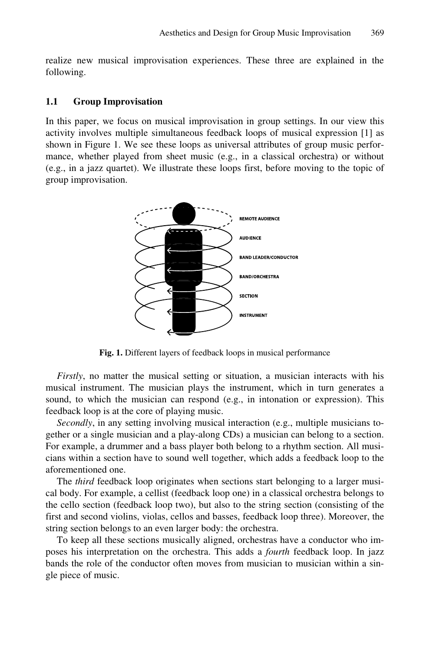realize new musical improvisation experiences. These three are explained in the following.

#### **1.1 Group Improvisation**

In this paper, we focus on musical improvisation in group settings. In our view this activity involves multiple simultaneous feedback loops of musical expression [1] as shown in Figure 1. We see these loops as universal attributes of group music performance, whether played from sheet music (e.g., in a classical orchestra) or without (e.g., in a jazz quartet). We illustrate these loops first, before moving to the topic of group improvisation.



**Fig. 1.** Different layers of feedback loops in musical performance

*Firstly*, no matter the musical setting or situation, a musician interacts with his musical instrument. The musician plays the instrument, which in turn generates a sound, to which the musician can respond (e.g., in intonation or expression). This feedback loop is at the core of playing music.

*Secondly*, in any setting involving musical interaction (e.g., multiple musicians together or a single musician and a play-along CDs) a musician can belong to a section. For example, a drummer and a bass player both belong to a rhythm section. All musicians within a section have to sound well together, which adds a feedback loop to the aforementioned one.

The *third* feedback loop originates when sections start belonging to a larger musical body. For example, a cellist (feedback loop one) in a classical orchestra belongs to the cello section (feedback loop two), but also to the string section (consisting of the first and second violins, violas, cellos and basses, feedback loop three). Moreover, the string section belongs to an even larger body: the orchestra.

To keep all these sections musically aligned, orchestras have a conductor who imposes his interpretation on the orchestra. This adds a *fourth* feedback loop. In jazz bands the role of the conductor often moves from musician to musician within a single piece of music.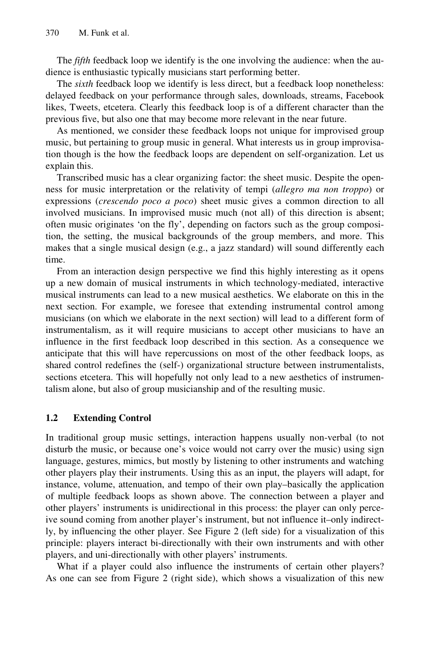The *fifth* feedback loop we identify is the one involving the audience: when the audience is enthusiastic typically musicians start performing better.

The *sixth* feedback loop we identify is less direct, but a feedback loop nonetheless: delayed feedback on your performance through sales, downloads, streams, Facebook likes, Tweets, etcetera. Clearly this feedback loop is of a different character than the previous five, but also one that may become more relevant in the near future.

As mentioned, we consider these feedback loops not unique for improvised group music, but pertaining to group music in general. What interests us in group improvisation though is the how the feedback loops are dependent on self-organization. Let us explain this.

Transcribed music has a clear organizing factor: the sheet music. Despite the openness for music interpretation or the relativity of tempi (*allegro ma non troppo*) or expressions (*crescendo poco a poco*) sheet music gives a common direction to all involved musicians. In improvised music much (not all) of this direction is absent; often music originates 'on the fly', depending on factors such as the group composition, the setting, the musical backgrounds of the group members, and more. This makes that a single musical design (e.g., a jazz standard) will sound differently each time.

From an interaction design perspective we find this highly interesting as it opens up a new domain of musical instruments in which technology-mediated, interactive musical instruments can lead to a new musical aesthetics. We elaborate on this in the next section. For example, we foresee that extending instrumental control among musicians (on which we elaborate in the next section) will lead to a different form of instrumentalism, as it will require musicians to accept other musicians to have an influence in the first feedback loop described in this section. As a consequence we anticipate that this will have repercussions on most of the other feedback loops, as shared control redefines the (self-) organizational structure between instrumentalists, sections etcetera. This will hopefully not only lead to a new aesthetics of instrumentalism alone, but also of group musicianship and of the resulting music.

### **1.2 Extending Control**

In traditional group music settings, interaction happens usually non-verbal (to not disturb the music, or because one's voice would not carry over the music) using sign language, gestures, mimics, but mostly by listening to other instruments and watching other players play their instruments. Using this as an input, the players will adapt, for instance, volume, attenuation, and tempo of their own play–basically the application of multiple feedback loops as shown above. The connection between a player and other players' instruments is unidirectional in this process: the player can only perceive sound coming from another player's instrument, but not influence it–only indirectly, by influencing the other player. See Figure 2 (left side) for a visualization of this principle: players interact bi-directionally with their own instruments and with other players, and uni-directionally with other players' instruments.

What if a player could also influence the instruments of certain other players? As one can see from Figure 2 (right side), which shows a visualization of this new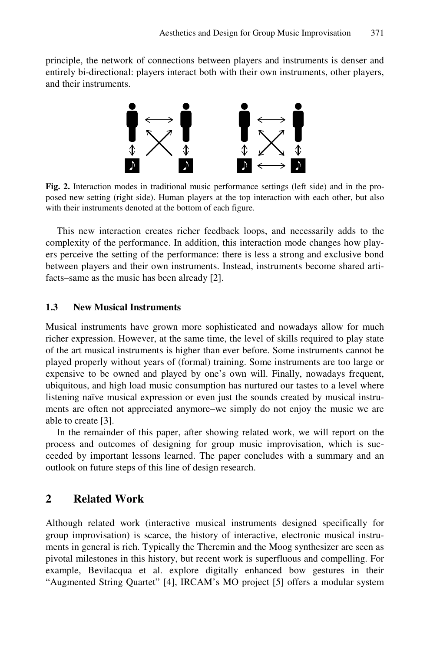principle, the network of connections between players and instruments is denser and entirely bi-directional: players interact both with their own instruments, other players, and their instruments.



**Fig. 2.** Interaction modes in traditional music performance settings (left side) and in the proposed new setting (right side). Human players at the top interaction with each other, but also with their instruments denoted at the bottom of each figure.

This new interaction creates richer feedback loops, and necessarily adds to the complexity of the performance. In addition, this interaction mode changes how players perceive the setting of the performance: there is less a strong and exclusive bond between players and their own instruments. Instead, instruments become shared artifacts–same as the music has been already [2].

### **1.3 New Musical Instruments**

Musical instruments have grown more sophisticated and nowadays allow for much richer expression. However, at the same time, the level of skills required to play state of the art musical instruments is higher than ever before. Some instruments cannot be played properly without years of (formal) training. Some instruments are too large or expensive to be owned and played by one's own will. Finally, nowadays frequent, ubiquitous, and high load music consumption has nurtured our tastes to a level where listening naïve musical expression or even just the sounds created by musical instruments are often not appreciated anymore–we simply do not enjoy the music we are able to create [3].

In the remainder of this paper, after showing related work, we will report on the process and outcomes of designing for group music improvisation, which is succeeded by important lessons learned. The paper concludes with a summary and an outlook on future steps of this line of design research.

## **2 Related Work**

Although related work (interactive musical instruments designed specifically for group improvisation) is scarce, the history of interactive, electronic musical instruments in general is rich. Typically the Theremin and the Moog synthesizer are seen as pivotal milestones in this history, but recent work is superfluous and compelling. For example, Bevilacqua et al. explore digitally enhanced bow gestures in their "Augmented String Quartet" [4], IRCAM's MO project [5] offers a modular system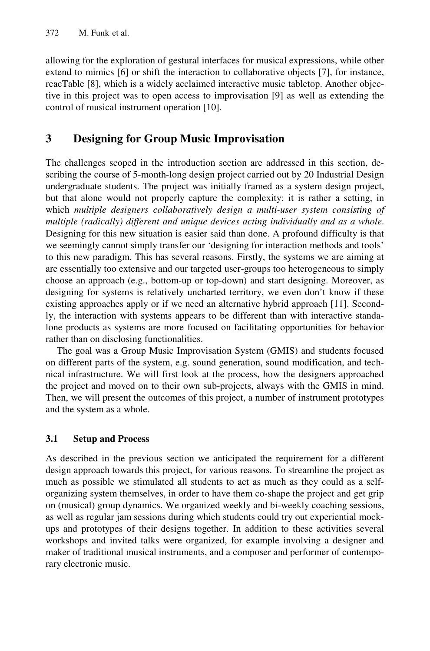allowing for the exploration of gestural interfaces for musical expressions, while other extend to mimics [6] or shift the interaction to collaborative objects [7], for instance, reacTable [8], which is a widely acclaimed interactive music tabletop. Another objective in this project was to open access to improvisation [9] as well as extending the control of musical instrument operation [10].

# **3 Designing for Group Music Improvisation**

The challenges scoped in the introduction section are addressed in this section, describing the course of 5-month-long design project carried out by 20 Industrial Design undergraduate students. The project was initially framed as a system design project, but that alone would not properly capture the complexity: it is rather a setting, in which *multiple designers collaboratively design a multi-user system consisting of multiple (radically) different and unique devices acting individually and as a whole*. Designing for this new situation is easier said than done. A profound difficulty is that we seemingly cannot simply transfer our 'designing for interaction methods and tools' to this new paradigm. This has several reasons. Firstly, the systems we are aiming at are essentially too extensive and our targeted user-groups too heterogeneous to simply choose an approach (e.g., bottom-up or top-down) and start designing. Moreover, as designing for systems is relatively uncharted territory, we even don't know if these existing approaches apply or if we need an alternative hybrid approach [11]. Secondly, the interaction with systems appears to be different than with interactive standalone products as systems are more focused on facilitating opportunities for behavior rather than on disclosing functionalities.

The goal was a Group Music Improvisation System (GMIS) and students focused on different parts of the system, e.g. sound generation, sound modification, and technical infrastructure. We will first look at the process, how the designers approached the project and moved on to their own sub-projects, always with the GMIS in mind. Then, we will present the outcomes of this project, a number of instrument prototypes and the system as a whole.

## **3.1 Setup and Process**

As described in the previous section we anticipated the requirement for a different design approach towards this project, for various reasons. To streamline the project as much as possible we stimulated all students to act as much as they could as a selforganizing system themselves, in order to have them co-shape the project and get grip on (musical) group dynamics. We organized weekly and bi-weekly coaching sessions, as well as regular jam sessions during which students could try out experiential mockups and prototypes of their designs together. In addition to these activities several workshops and invited talks were organized, for example involving a designer and maker of traditional musical instruments, and a composer and performer of contemporary electronic music.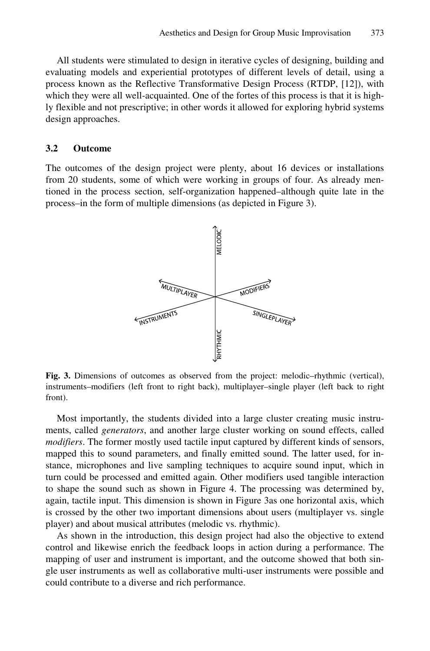All students were stimulated to design in iterative cycles of designing, building and evaluating models and experiential prototypes of different levels of detail, using a process known as the Reflective Transformative Design Process (RTDP, [12]), with which they were all well-acquainted. One of the fortes of this process is that it is highly flexible and not prescriptive; in other words it allowed for exploring hybrid systems design approaches.

#### **3.2 Outcome**

The outcomes of the design project were plenty, about 16 devices or installations from 20 students, some of which were working in groups of four. As already mentioned in the process section, self-organization happened–although quite late in the process–in the form of multiple dimensions (as depicted in Figure 3).



**Fig. 3.** Dimensions of outcomes as observed from the project: melodic–rhythmic (vertical), instruments–modifiers (left front to right back), multiplayer–single player (left back to right front).

Most importantly, the students divided into a large cluster creating music instruments, called *generators*, and another large cluster working on sound effects, called *modifiers*. The former mostly used tactile input captured by different kinds of sensors, mapped this to sound parameters, and finally emitted sound. The latter used, for instance, microphones and live sampling techniques to acquire sound input, which in turn could be processed and emitted again. Other modifiers used tangible interaction to shape the sound such as shown in Figure 4. The processing was determined by, again, tactile input. This dimension is shown in Figure 3as one horizontal axis, which is crossed by the other two important dimensions about users (multiplayer vs. single player) and about musical attributes (melodic vs. rhythmic).

As shown in the introduction, this design project had also the objective to extend control and likewise enrich the feedback loops in action during a performance. The mapping of user and instrument is important, and the outcome showed that both single user instruments as well as collaborative multi-user instruments were possible and could contribute to a diverse and rich performance.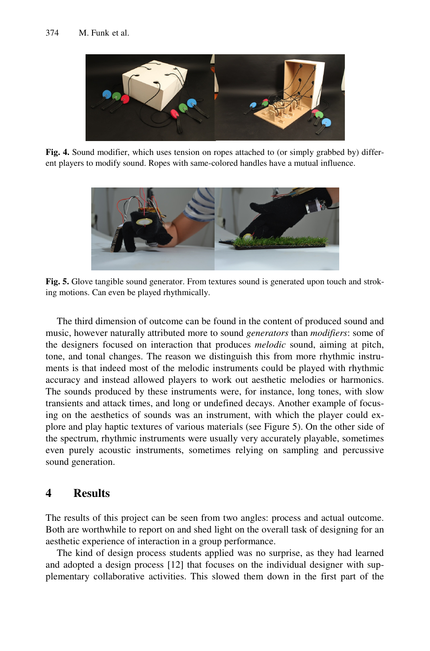

**Fig. 4.** Sound modifier, which uses tension on ropes attached to (or simply grabbed by) different players to modify sound. Ropes with same-colored handles have a mutual influence.



**Fig. 5.** Glove tangible sound generator. From textures sound is generated upon touch and stroking motions. Can even be played rhythmically.

The third dimension of outcome can be found in the content of produced sound and music, however naturally attributed more to sound *generators* than *modifiers*: some of the designers focused on interaction that produces *melodic* sound, aiming at pitch, tone, and tonal changes. The reason we distinguish this from more rhythmic instruments is that indeed most of the melodic instruments could be played with rhythmic accuracy and instead allowed players to work out aesthetic melodies or harmonics. The sounds produced by these instruments were, for instance, long tones, with slow transients and attack times, and long or undefined decays. Another example of focusing on the aesthetics of sounds was an instrument, with which the player could explore and play haptic textures of various materials (see Figure 5). On the other side of the spectrum, rhythmic instruments were usually very accurately playable, sometimes even purely acoustic instruments, sometimes relying on sampling and percussive sound generation.

## **4 Results**

The results of this project can be seen from two angles: process and actual outcome. Both are worthwhile to report on and shed light on the overall task of designing for an aesthetic experience of interaction in a group performance.

The kind of design process students applied was no surprise, as they had learned and adopted a design process [12] that focuses on the individual designer with supplementary collaborative activities. This slowed them down in the first part of the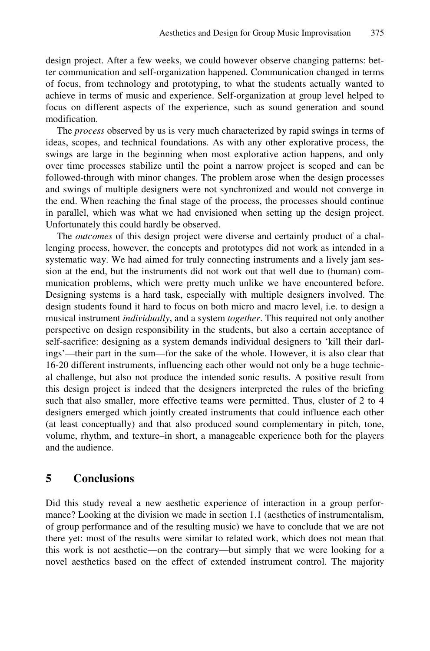design project. After a few weeks, we could however observe changing patterns: better communication and self-organization happened. Communication changed in terms of focus, from technology and prototyping, to what the students actually wanted to achieve in terms of music and experience. Self-organization at group level helped to focus on different aspects of the experience, such as sound generation and sound modification.

The *process* observed by us is very much characterized by rapid swings in terms of ideas, scopes, and technical foundations. As with any other explorative process, the swings are large in the beginning when most explorative action happens, and only over time processes stabilize until the point a narrow project is scoped and can be followed-through with minor changes. The problem arose when the design processes and swings of multiple designers were not synchronized and would not converge in the end. When reaching the final stage of the process, the processes should continue in parallel, which was what we had envisioned when setting up the design project. Unfortunately this could hardly be observed.

The *outcomes* of this design project were diverse and certainly product of a challenging process, however, the concepts and prototypes did not work as intended in a systematic way. We had aimed for truly connecting instruments and a lively jam session at the end, but the instruments did not work out that well due to (human) communication problems, which were pretty much unlike we have encountered before. Designing systems is a hard task, especially with multiple designers involved. The design students found it hard to focus on both micro and macro level, i.e. to design a musical instrument *individually*, and a system *together*. This required not only another perspective on design responsibility in the students, but also a certain acceptance of self-sacrifice: designing as a system demands individual designers to 'kill their darlings'—their part in the sum—for the sake of the whole. However, it is also clear that 16-20 different instruments, influencing each other would not only be a huge technical challenge, but also not produce the intended sonic results. A positive result from this design project is indeed that the designers interpreted the rules of the briefing such that also smaller, more effective teams were permitted. Thus, cluster of 2 to 4 designers emerged which jointly created instruments that could influence each other (at least conceptually) and that also produced sound complementary in pitch, tone, volume, rhythm, and texture–in short, a manageable experience both for the players and the audience.

## **5 Conclusions**

Did this study reveal a new aesthetic experience of interaction in a group performance? Looking at the division we made in section 1.1 (aesthetics of instrumentalism, of group performance and of the resulting music) we have to conclude that we are not there yet: most of the results were similar to related work, which does not mean that this work is not aesthetic—on the contrary—but simply that we were looking for a novel aesthetics based on the effect of extended instrument control. The majority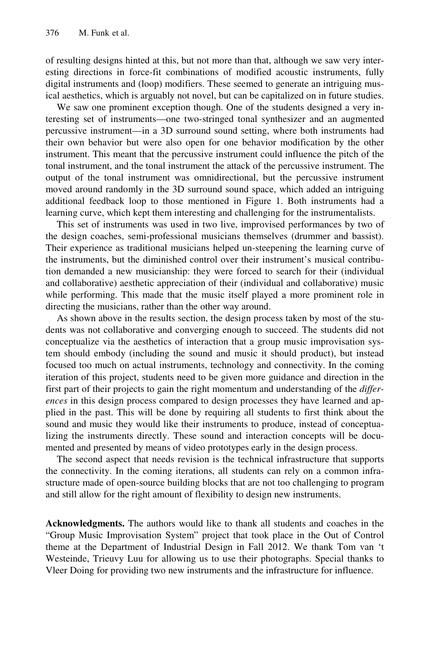of resulting designs hinted at this, but not more than that, although we saw very interesting directions in force-fit combinations of modified acoustic instruments, fully digital instruments and (loop) modifiers. These seemed to generate an intriguing musical aesthetics, which is arguably not novel, but can be capitalized on in future studies.

We saw one prominent exception though. One of the students designed a very interesting set of instruments—one two-stringed tonal synthesizer and an augmented percussive instrument—in a 3D surround sound setting, where both instruments had their own behavior but were also open for one behavior modification by the other instrument. This meant that the percussive instrument could influence the pitch of the tonal instrument, and the tonal instrument the attack of the percussive instrument. The output of the tonal instrument was omnidirectional, but the percussive instrument moved around randomly in the 3D surround sound space, which added an intriguing additional feedback loop to those mentioned in Figure 1. Both instruments had a learning curve, which kept them interesting and challenging for the instrumentalists.

This set of instruments was used in two live, improvised performances by two of the design coaches, semi-professional musicians themselves (drummer and bassist). Their experience as traditional musicians helped un-steepening the learning curve of the instruments, but the diminished control over their instrument's musical contribution demanded a new musicianship: they were forced to search for their (individual and collaborative) aesthetic appreciation of their (individual and collaborative) music while performing. This made that the music itself played a more prominent role in directing the musicians, rather than the other way around.

As shown above in the results section, the design process taken by most of the students was not collaborative and converging enough to succeed. The students did not conceptualize via the aesthetics of interaction that a group music improvisation system should embody (including the sound and music it should product), but instead focused too much on actual instruments, technology and connectivity. In the coming iteration of this project, students need to be given more guidance and direction in the first part of their projects to gain the right momentum and understanding of the *differences* in this design process compared to design processes they have learned and applied in the past. This will be done by requiring all students to first think about the sound and music they would like their instruments to produce, instead of conceptualizing the instruments directly. These sound and interaction concepts will be documented and presented by means of video prototypes early in the design process.

The second aspect that needs revision is the technical infrastructure that supports the connectivity. In the coming iterations, all students can rely on a common infrastructure made of open-source building blocks that are not too challenging to program and still allow for the right amount of flexibility to design new instruments.

**Acknowledgments.** The authors would like to thank all students and coaches in the "Group Music Improvisation System" project that took place in the Out of Control theme at the Department of Industrial Design in Fall 2012. We thank Tom van 't Westeinde, Trieuvy Luu for allowing us to use their photographs. Special thanks to Vleer Doing for providing two new instruments and the infrastructure for influence.